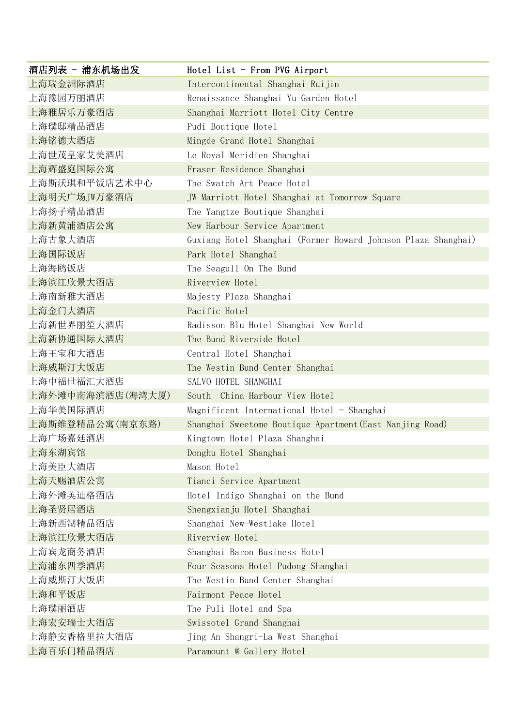| 酒店列表 - 浦东机场出发    | Hotel List - From PVG Airport                                 |
|------------------|---------------------------------------------------------------|
| 上海瑞金洲际酒店         | Intercontinental Shanghai Ruijin                              |
| 上海豫园万丽酒店         | Renaissance Shanghai Yu Garden Hotel                          |
| 上海雅居乐万豪酒店        | Shanghai Marriott Hotel City Centre                           |
| 上海璞邸精品酒店         | Pudi Boutique Hotel                                           |
| 上海铭德大酒店          | Mingde Grand Hotel Shanghai                                   |
| 上海世茂皇家艾美酒店       | Le Royal Meridien Shanghai                                    |
| 上海辉盛庭国际公寓        | Fraser Residence Shanghai                                     |
| 上海斯沃琪和平饭店艺术中心    | The Swatch Art Peace Hotel                                    |
| 上海明天广场JW万豪酒店     | JW Marriott Hotel Shanghai at Tomorrow Square                 |
| 上海扬子精品酒店         | The Yangtze Boutique Shanghai                                 |
| 上海新黄浦酒店公寓        | New Harbour Service Apartment                                 |
| 上海古象大酒店          | Guxiang Hotel Shanghai (Former Howard Johnson Plaza Shanghai) |
| 上海国际饭店           | Park Hotel Shanghai                                           |
| 上海海鸥饭店           | The Seagull On The Bund                                       |
| 上海滨江欣景大酒店        | Riverview Hotel                                               |
| 上海南新雅大酒店         | Majesty Plaza Shanghai                                        |
| 上海金门大酒店          | Pacific Hotel                                                 |
| 上海新世界丽笙大酒店       | Radisson Blu Hotel Shanghai New World                         |
| 上海新协通国际大酒店       | The Bund Riverside Hotel                                      |
| 上海王宝和大酒店         | Central Hotel Shanghai                                        |
| 上海威斯汀大饭店         | The Westin Bund Center Shanghai                               |
| 上海中福世福汇大酒店       | SALVO HOTEL SHANGHAI                                          |
| 上海外滩中南海滨酒店(海湾大厦) | South China Harbour View Hotel                                |
| 上海华美国际酒店         | Magnificent International Hotel - Shanghai                    |
| 上海斯维登精品公寓(南京东路)  | Shanghai Sweetome Boutique Apartment (East Nanjing Road)      |
| 上海广场嘉廷酒店         | Kingtown Hotel Plaza Shanghai                                 |
| 上海东湖宾馆           | Donghu Hotel Shanghai                                         |
| 上海美臣大酒店          | Mason Hotel                                                   |
| 上海天赐酒店公寓         | Tianci Service Apartment                                      |
| 上海外滩英迪格酒店        | Hotel Indigo Shanghai on the Bund                             |
| 上海圣贤居酒店          | Shengxianju Hotel Shanghai                                    |
| 上海新西湖精品酒店        | Shanghai New-Westlake Hotel                                   |
| 上海滨江欣景大酒店        | Riverview Hotel                                               |
| 上海宾龙商务酒店         | Shanghai Baron Business Hotel                                 |
| 上海浦东四季酒店         | Four Seasons Hotel Pudong Shanghai                            |
| 上海威斯汀大饭店         | The Westin Bund Center Shanghai                               |
| 上海和平饭店           | Fairmont Peace Hotel                                          |
| 上海璞丽酒店           | The Puli Hotel and Spa                                        |
| 上海宏安瑞士大酒店        | Swissotel Grand Shanghai                                      |
| 上海静安香格里拉大酒店      | Jing An Shangri-La West Shanghai                              |
| 上海百乐门精品酒店        | Paramount @ Gallery Hotel                                     |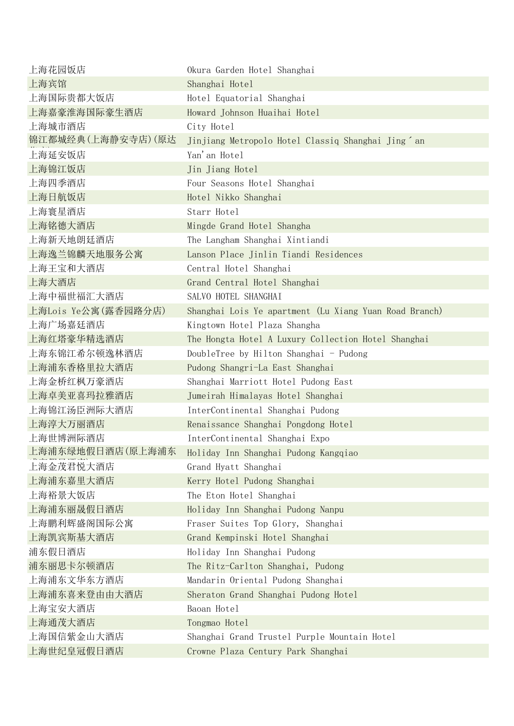| 上海花园饭店              | Okura Garden Hotel Shanghai                                    |
|---------------------|----------------------------------------------------------------|
| 上海宾馆                | Shanghai Hotel                                                 |
| 上海国际贵都大饭店           | Hotel Equatorial Shanghai                                      |
| 上海嘉豪淮海国际豪生酒店        | Howard Johnson Huaihai Hotel                                   |
| 上海城市酒店              | City Hotel                                                     |
| 锦江都城经典(上海静安寺店)(原达   | Jinjiang Metropolo Hotel Classiq Shanghai Jing <sup>2</sup> an |
| 上海延安饭店              | Yan'an Hotel                                                   |
| 上海锦江饭店              | Jin Jiang Hotel                                                |
| 上海四季酒店              | Four Seasons Hotel Shanghai                                    |
| 上海日航饭店              | Hotel Nikko Shanghai                                           |
| 上海寰星酒店              | Starr Hotel                                                    |
| 上海铭德大酒店             | Mingde Grand Hotel Shangha                                     |
| 上海新天地朗廷酒店           | The Langham Shanghai Xintiandi                                 |
| 上海逸兰锦麟天地服务公寓        | Lanson Place Jinlin Tiandi Residences                          |
| 上海王宝和大酒店            | Central Hotel Shanghai                                         |
| 上海大酒店               | Grand Central Hotel Shanghai                                   |
| 上海中福世福汇大酒店          | SALVO HOTEL SHANGHAI                                           |
| 上海Lois Ye公寓(露香园路分店) | Shanghai Lois Ye apartment (Lu Xiang Yuan Road Branch)         |
| 上海广场嘉廷酒店            | Kingtown Hotel Plaza Shangha                                   |
| 上海红塔豪华精选酒店          | The Hongta Hotel A Luxury Collection Hotel Shanghai            |
| 上海东锦江希尔顿逸林酒店        | DoubleTree by Hilton Shanghai - Pudong                         |
| 上海浦东香格里拉大酒店         | Pudong Shangri-La East Shanghai                                |
| 上海金桥红枫万豪酒店          | Shanghai Marriott Hotel Pudong East                            |
| 上海卓美亚喜玛拉雅酒店         | Jumeirah Himalayas Hotel Shanghai                              |
| 上海锦江汤臣洲际大酒店         | InterContinental Shanghai Pudong                               |
| 上海淳大万丽酒店            | Renaissance Shanghai Pongdong Hotel                            |
| 上海世博洲际酒店            | InterContinental Shanghai Expo                                 |
| 上海浦东绿地假日酒店(原上海浦东    | Holiday Inn Shanghai Pudong Kangqiao                           |
| 上海金茂君悦大酒店           | Grand Hyatt Shanghai                                           |
| 上海浦东嘉里大酒店           | Kerry Hotel Pudong Shanghai                                    |
| 上海裕景大饭店             | The Eton Hotel Shanghai                                        |
| 上海浦东丽晟假日酒店          | Holiday Inn Shanghai Pudong Nanpu                              |
| 上海鹏利辉盛阁国际公寓         | Fraser Suites Top Glory, Shanghai                              |
| 上海凯宾斯基大酒店           | Grand Kempinski Hotel Shanghai                                 |
| 浦东假日酒店              | Holiday Inn Shanghai Pudong                                    |
| 浦东丽思卡尔顿酒店           | The Ritz-Carlton Shanghai, Pudong                              |
| 上海浦东文华东方酒店          | Mandarin Oriental Pudong Shanghai                              |
| 上海浦东喜来登由由大酒店        | Sheraton Grand Shanghai Pudong Hotel                           |
| 上海宝安大酒店             | Baoan Hotel                                                    |
| 上海通茂大酒店             | Tongmao Hotel                                                  |
| 上海国信紫金山大酒店          | Shanghai Grand Trustel Purple Mountain Hotel                   |
| 上海世纪皇冠假日酒店          | Crowne Plaza Century Park Shanghai                             |